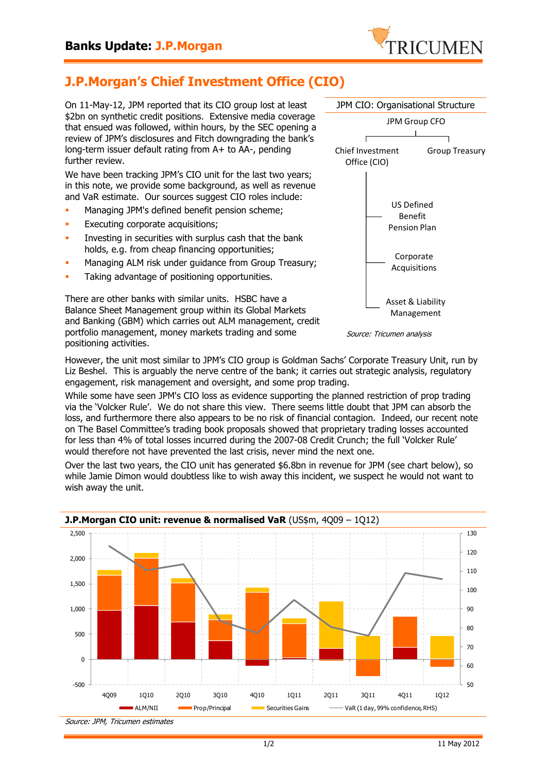

## **J.P.Morgan's Chief Investment Office (CIO)**

On 11-May-12, JPM reported that its CIO group lost at least \$2bn on synthetic credit positions. Extensive media coverage that ensued was followed, within hours, by the SEC opening a review of JPM's disclosures and Fitch downgrading the bank's long-term issuer default rating from A+ to AA-, pending further review.

We have been tracking JPM's CIO unit for the last two years; in this note, we provide some background, as well as revenue and VaR estimate. Our sources suggest CIO roles include:

- **Managing JPM's defined benefit pension scheme;**
- **Executing corporate acquisitions;**
- Investing in securities with surplus cash that the bank holds, e.g. from cheap financing opportunities;
- Managing ALM risk under guidance from Group Treasury;
- Taking advantage of positioning opportunities.

There are other banks with similar units. HSBC have a Balance Sheet Management group within its Global Markets and Banking (GBM) which carries out ALM management, credit portfolio management, money markets trading and some positioning activities.





However, the unit most similar to JPM's CIO group is Goldman Sachs' Corporate Treasury Unit, run by Liz Beshel. This is arguably the nerve centre of the bank; it carries out strategic analysis, regulatory engagement, risk management and oversight, and some prop trading.

While some have seen JPM's CIO loss as evidence supporting the planned restriction of prop trading via the 'Volcker Rule'. We do not share this view. There seems little doubt that JPM can absorb the loss, and furthermore there also appears to be no risk of financial contagion. Indeed, our recent note on The Basel Committee's trading book proposals showed that proprietary trading losses accounted for less than 4% of total losses incurred during the 2007-08 Credit Crunch; the full 'Volcker Rule' would therefore not have prevented the last crisis, never mind the next one.

Over the last two years, the CIO unit has generated \$6.8bn in revenue for JPM (see chart below), so while Jamie Dimon would doubtless like to wish away this incident, we suspect he would not want to wish away the unit.



## **J.P.Morgan CIO unit: revenue & normalised VaR** (US\$m, 4009 – 1012)